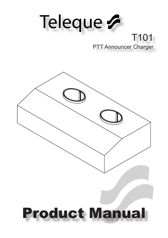# Teleque G T101 PTT Announcer Charger

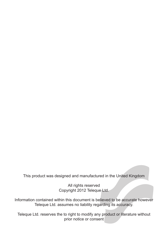This product was designed and manufactured in the United Kingdom

All rights reserved Copyright 2012 Teleque Ltd.

Information contained within this document is believed to be accurate however Teleque Ltd. assumes no liability regarding its accuracy.

Teleque Ltd. reserves the to right to modify any product or literature without prior notice or consent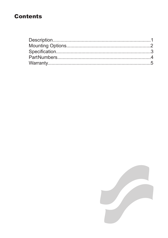## **Contents**

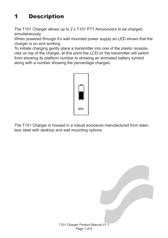# 1 Description

The T101 Charger allows up to 2 x T101 PTT Announcers to be charged simultaneously.

When powered through it's wall mounted power supply an LED shows that the charger is on and working.

To initiate charging gently place a transmitter into one of the plastic receptacles on top of the charger, at this point the LCD on the transmitter will switch from showing its platform number to showing an animated battery symbol along with a number showing the percentage charged.



The T101 Charger is housed in a robust enclosure manufactured from stainless steel with desktop and wall mounting options.

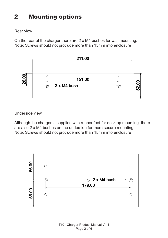## 2 Mounting options

### Rear view

On the rear of the charger there are 2 x M4 bushes for wall mounting. Note: Screws should not protrude more than 15mm into enclosure



Underside view

Although the charger is supplied with rubber feet for desktop mounting, there are also 2 x M4 bushes on the underside for more secure mounting. Note: Screws should not protrude more than 15mm into enclosure

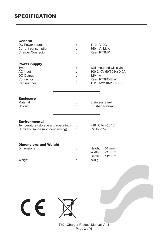## **SPECIFICATION**

| <b>General</b><br>DC Power source<br>Current consumption<br>Charger Connector                    |                               | 11-24 V DC<br>350 mA Max.<br>Rean RT3MP                                                            |
|--------------------------------------------------------------------------------------------------|-------------------------------|----------------------------------------------------------------------------------------------------|
| <b>Power Supply</b><br>Type<br><b>AC Input</b><br>DC Output<br>Connector<br>Part number          |                               | Wall mounted UK style<br>100-240V 50/60 Hz 0.5A<br>12V 1A<br>Rean RT3FC-B-W<br>TC101-2/110-230V/PS |
| <b>Enclosure</b><br>Material<br>Colour                                                           |                               | <b>Stainless Steel</b><br><b>Brushed Natural</b>                                                   |
| <b>Environmental</b><br>Temperature (storage and operating) :<br>Humidity Range (non-condensing) | $\mathbb{C}^{\mathbb{Z}^n}$ . | $-10$ °C to +50 °C<br>0% to 93%                                                                    |
| <b>Dimensions and Weight</b><br><b>Dimensions</b><br>Weight                                      | ÷<br>$\ddot{\cdot}$           | Height: 51 mm<br>Width: 211 mm<br>Depth: 112 mm<br>750 g                                           |
|                                                                                                  |                               |                                                                                                    |
| $\mathsf{C}\in$                                                                                  |                               |                                                                                                    |
|                                                                                                  |                               | T101 Charger Product Manual V1 1                                                                   |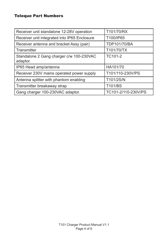## Teleque Part Numbers

| Receiver unit standalone 12-28V operation            | T101/70/RX          |
|------------------------------------------------------|---------------------|
| Receiver unit integrated into IP65 Enclosure         | T100/IP65           |
| Receiver antenna and bracket Assy (pair)             | TDP101/70/BA        |
| Transmitter                                          | T101/70/TX          |
| Standalone 2 Gang charger c/w 100-230VAC<br>adaptor. | TC101-2             |
| IP65 Head amp/antenna                                | HA101/70            |
| Receiver 230V mains operated power supply            | T101/110-230V/PS    |
| Antenna splitter with phantom enabling               | T101/2S/N           |
| Transmitter breakaway strap                          | T101/BS             |
| Gang charger 100-230VAC adaptor.                     | TC101-2/110-230V/PS |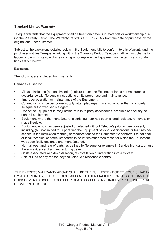#### **Standard Limited Warranty**

Teleque warrants that the Equipment shall be free from defects in materials or workmanship during the Warranty Period. The Warranty Period is ONE (1) YEAR from the date of purchase by the original end-user customer.

Subject to the exclusions detailed below, if the Equipment fails to conform to this Warranty and the purchaser notifies Teleque in writing within the Warranty Period, Teleque shall, without charge for labour or parts, (in its sole discretion), repair or replace the Equipment on the terms and conditions set out below.

#### Exclusions

The following are excluded from warranty:

#### Damage caused by:

- Misuse, including (but not limited to) failure to use the Equipment for its normal purpose in accordance with Teleque's instructions on its proper use and maintenance;
- Improper operation or maintenance of the Equipment:
- Connection to improper power supply; attempted repair by anyone other than a properly Teleque authorized service agent;
- Use of the Equipment in conjunction with third party accessories, products or ancillary peripheral equipment.
- Equipment where the manufacturer's serial number has been altered, deleted, removed, or made illegible.
- Equipment which has been adjusted or adapted without Teleque's prior written consent, including (but not limited to): upgrading the Equipment beyond specifications or features described in the instruction manual, or modifications to the Equipment to conform it to national or local technical or safety standards in countries other than those for which the Equipment was specifically designed and manufactured.
- Normal wear and tear of parts, as defined by Teleque for example in Service Manuals, unless there is evidence of a manufacturing defect.
- Costs associated with de-installation, re-installation or integration into a system
- Acts of God or any reason beyond Teleque's reasonable control:

THE EXPRESS WARRANTY ABOVE SHALL BE THE FULL EXTENT OF TELEQUE'S LIABIL-ITY. ACCORDINGLY, TELEQUE DISCLAIMS ALL OTHER LIABILITY FOR LOSS OR DAMAGE HOWSOEVER CAUSED (EXCEPT FOR DEATH OR PERSONAL INJURY RESULTING FROM PROVED NEGLIGENCE)

> T101 Charger Product Manual V1.1 Page 5 of 6